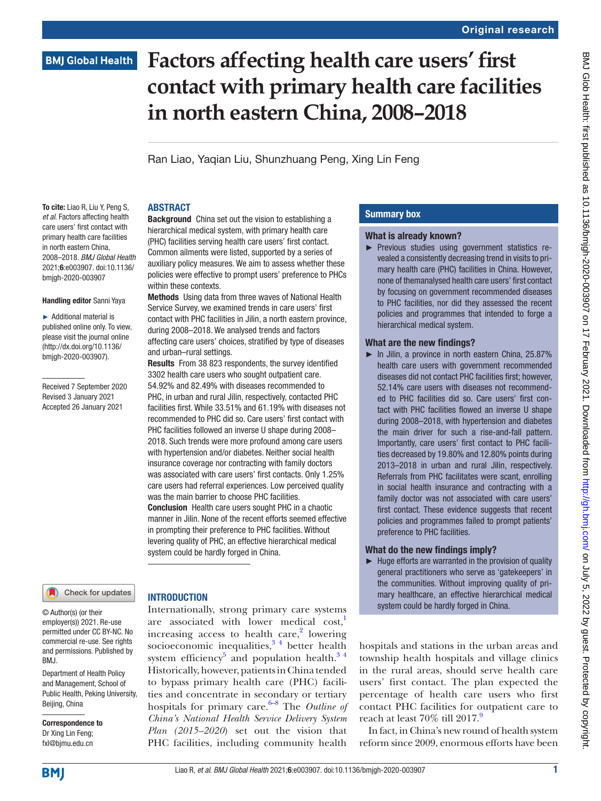### **BMJ Global Health**

# **Factors affecting health care users' first contact with primary health care facilities in north eastern China, 2008–2018**

Ran Liao, Yaqian Liu, Shunzhuang Peng, Xing Lin Feng

**Background** China set out the vision to establishing a hierarchical medical system, with primary health care (PHC) facilities serving health care users' first contact. Common ailments were listed, supported by a series of auxiliary policy measures. We aim to assess whether these policies were effective to prompt users' preference to PHCs

Methods Using data from three waves of National Health Service Survey, we examined trends in care users' first contact with PHC facilities in Jilin, a north eastern province, during 2008–2018. We analysed trends and factors affecting care users' choices, stratified by type of diseases

Results From 38 823 respondents, the survey identified 3302 health care users who sought outpatient care. 54.92% and 82.49% with diseases recommended to PHC, in urban and rural Jilin, respectively, contacted PHC facilities first. While 33.51% and 61.19% with diseases not recommended to PHC did so. Care users' first contact with PHC facilities followed an inverse U shape during 2008– 2018. Such trends were more profound among care users with hypertension and/or diabetes. Neither social health insurance coverage nor contracting with family doctors was associated with care users' first contacts. Only 1.25% care users had referral experiences. Low perceived quality

was the main barrier to choose PHC facilities. Conclusion Health care users sought PHC in a chaotic manner in Jilin. None of the recent efforts seemed effective in prompting their preference to PHC facilities. Without levering quality of PHC, an effective hierarchical medical

system could be hardly forged in China.

#### **ABSTRACT**

within these contexts.

and urban–rural settings.

To cite: Liao R, Liu Y, Peng S, *et al*. Factors affecting health care users' first contact with primary health care facilities in north eastern China, 2008–2018. *BMJ Global Health* 2021;6:e003907. doi:10.1136/ bmjgh-2020-003907

#### Handling editor Sanni Yaya

► Additional material is published online only. To view, please visit the journal online (http://dx.doi.org/10.1136/ bmjgh-2020-003907).

Received 7 September 2020 Revised 3 January 2021 Accepted 26 January 2021

#### Check for updates

© Author(s) (or their employer(s)) 2021. Re-use permitted under CC BY-NC. No commercial re-use. See rights and permissions. Published by RM<sub>J</sub>

Department of Health Policy and Management, School of Public Health, Peking University, Beijing, China

Correspondence to Dr Xing Lin Feng; fxl@bjmu.edu.cn

#### **INTRODUCTION**

Internationally, strong primary care systems are associated with lower medical cost,<sup>1</sup> increasing access to health care, $2$  lowering socioeconomic inequalities, $3/4$  better health system efficiency<sup>[5](#page-9-3)</sup> and population health.<sup>34</sup> Historically, however, patients in China tended to bypass primary health care (PHC) facilities and concentrate in secondary or tertiary hospitals for primary care.<sup>[6–8](#page-9-4)</sup> The *Outline of China's National Health Service Delivery System Plan (2015–2020*) set out the vision that PHC facilities, including community health

#### Summary box

#### What is already known?

► Previous studies using government statistics revealed a consistently decreasing trend in visits to primary health care (PHC) facilities in China. However, none of themanalysed health care users' first contact by focusing on government recommended diseases to PHC facilities, nor did they assessed the recent policies and programmes that intended to forge a hierarchical medical system.

#### What are the new findings?

► In Jilin, a province in north eastern China, 25.87% health care users with government recommended diseases did not contact PHC facilities first; however, 52.14% care users with diseases not recommended to PHC facilities did so. Care users' first contact with PHC facilities flowed an inverse U shape during 2008–2018, with hypertension and diabetes the main driver for such a rise-and-fall pattern. Importantly, care users' first contact to PHC facilities decreased by 19.80% and 12.80% points during 2013–2018 in urban and rural Jilin, respectively. Referrals from PHC facilitates were scant, enrolling in social health insurance and contracting with a family doctor was not associated with care users' first contact. These evidence suggests that recent policies and programmes failed to prompt patients' preference to PHC facilities.

#### What do the new findings imply?

 $\blacktriangleright$  Huge efforts are warranted in the provision of quality general practitioners who serve as 'gatekeepers' in the communities. Without improving quality of primary healthcare, an effective hierarchical medical system could be hardly forged in China.

hospitals and stations in the urban areas and township health hospitals and village clinics in the rural areas, should serve health care users' first contact. The plan expected the percentage of health care users who first contact PHC facilities for outpatient care to reach at least  $70\%$  till  $2017<sup>9</sup>$ .

In fact, in China's new round of health system reform since 2009, enormous efforts have been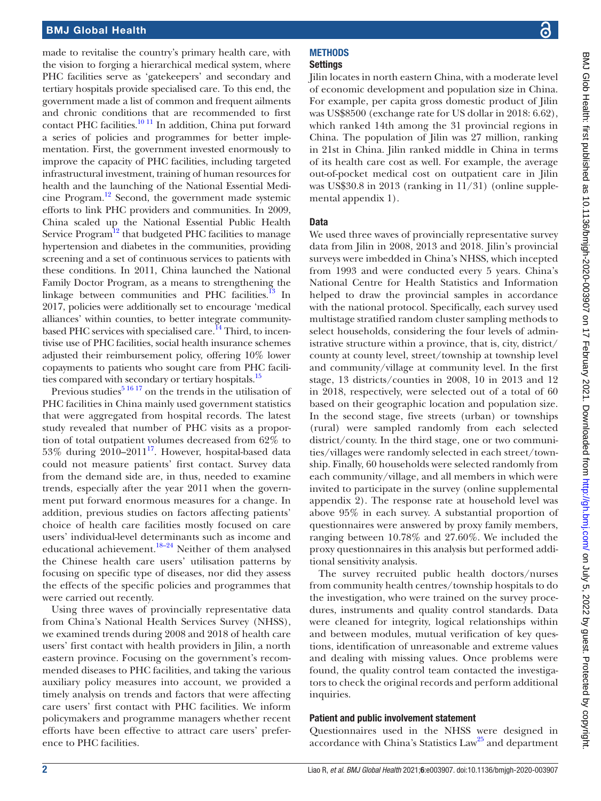made to revitalise the country's primary health care, with the vision to forging a hierarchical medical system, where PHC facilities serve as 'gatekeepers' and secondary and tertiary hospitals provide specialised care. To this end, the government made a list of common and frequent ailments and chronic conditions that are recommended to first contact PHC facilities.<sup>10 11</sup> In addition, China put forward a series of policies and programmes for better implementation. First, the government invested enormously to improve the capacity of PHC facilities, including targeted infrastructural investment, training of human resources for health and the launching of the National Essential Medicine Program[.12](#page-9-7) Second, the government made systemic efforts to link PHC providers and communities. In 2009, China scaled up the National Essential Public Health Service Program<sup>[12](#page-9-7)</sup> that budgeted PHC facilities to manage hypertension and diabetes in the communities, providing screening and a set of continuous services to patients with these conditions. In 2011, China launched the National Family Doctor Program, as a means to strengthening the linkage between communities and PHC facilities.<sup>13</sup> In 2017, policies were additionally set to encourage 'medical alliances' within counties, to better integrate communitybased PHC services with specialised care.<sup>14</sup> Third, to incentivise use of PHC facilities, social health insurance schemes adjusted their reimbursement policy, offering 10% lower copayments to patients who sought care from PHC facili-ties compared with secondary or tertiary hospitals.<sup>[15](#page-9-10)</sup>

Previous studies $5^{16}$  17 on the trends in the utilisation of PHC facilities in China mainly used government statistics that were aggregated from hospital records. The latest study revealed that number of PHC visits as a proportion of total outpatient volumes decreased from 62% to 53% during  $2010-2011^{17}$ . However, hospital-based data could not measure patients' first contact. Survey data from the demand side are, in thus, needed to examine trends, especially after the year 2011 when the government put forward enormous measures for a change. In addition, previous studies on factors affecting patients' choice of health care facilities mostly focused on care users' individual-level determinants such as income and educational achievement.<sup>18–24</sup> Neither of them analysed the Chinese health care users' utilisation patterns by focusing on specific type of diseases, nor did they assess the effects of the specific policies and programmes that were carried out recently.

Using three waves of provincially representative data from China's National Health Services Survey (NHSS), we examined trends during 2008 and 2018 of health care users' first contact with health providers in Jilin, a north eastern province. Focusing on the government's recommended diseases to PHC facilities, and taking the various auxiliary policy measures into account, we provided a timely analysis on trends and factors that were affecting care users' first contact with PHC facilities. We inform policymakers and programme managers whether recent efforts have been effective to attract care users' preference to PHC facilities.

# **METHODS**

Settings

Jilin locates in north eastern China, with a moderate level of economic development and population size in China. For example, per capita gross domestic product of Jilin was US\$8500 (exchange rate for US dollar in 2018: 6.62), which ranked 14th among the 31 provincial regions in China. The population of Jilin was 27 million, ranking in 21st in China. Jilin ranked middle in China in terms of its health care cost as well. For example, the average out-of-pocket medical cost on outpatient care in Jilin was US\$30.8 in 2013 (ranking in 11/31) ([online supple](https://dx.doi.org/10.1136/bmjgh-2020-003907)[mental appendix 1\)](https://dx.doi.org/10.1136/bmjgh-2020-003907).

#### **Data**

We used three waves of provincially representative survey data from Jilin in 2008, 2013 and 2018. Jilin's provincial surveys were imbedded in China's NHSS, which incepted from 1993 and were conducted every 5 years. China's National Centre for Health Statistics and Information helped to draw the provincial samples in accordance with the national protocol. Specifically, each survey used multistage stratified random cluster sampling methods to select households, considering the four levels of administrative structure within a province, that is, city, district/ county at county level, street/township at township level and community/village at community level. In the first stage, 13 districts/counties in 2008, 10 in 2013 and 12 in 2018, respectively, were selected out of a total of 60 based on their geographic location and population size. In the second stage, five streets (urban) or townships (rural) were sampled randomly from each selected district/county. In the third stage, one or two communities/villages were randomly selected in each street/township. Finally, 60 households were selected randomly from each community/village, and all members in which were invited to participate in the survey [\(online supplemental](https://dx.doi.org/10.1136/bmjgh-2020-003907) [appendix 2](https://dx.doi.org/10.1136/bmjgh-2020-003907)). The response rate at household level was above 95% in each survey. A substantial proportion of questionnaires were answered by proxy family members, ranging between 10.78% and 27.60%. We included the proxy questionnaires in this analysis but performed additional sensitivity analysis.

The survey recruited public health doctors/nurses from community health centres/township hospitals to do the investigation, who were trained on the survey procedures, instruments and quality control standards. Data were cleaned for integrity, logical relationships within and between modules, mutual verification of key questions, identification of unreasonable and extreme values and dealing with missing values. Once problems were found, the quality control team contacted the investigators to check the original records and perform additional inquiries.

#### Patient and public involvement statement

Questionnaires used in the NHSS were designed in accordance with China's Statistics Law<sup>25</sup> and department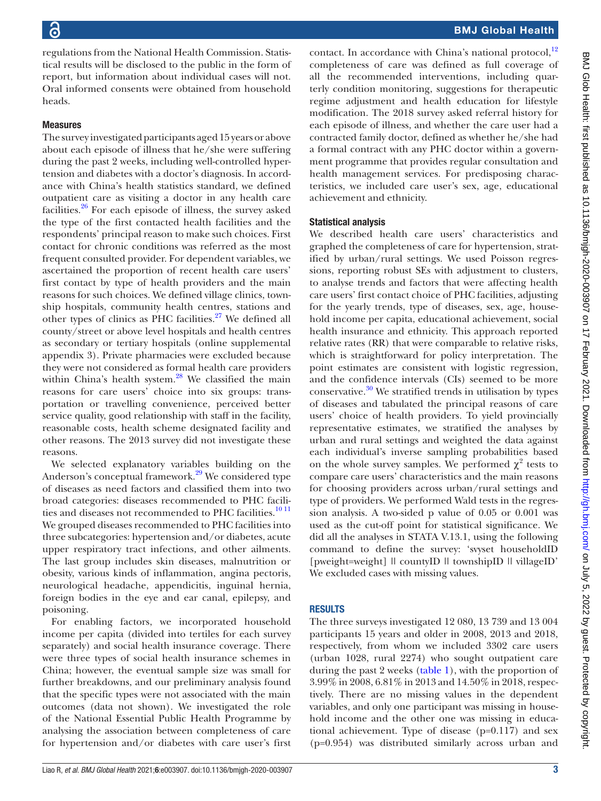regulations from the National Health Commission. Statistical results will be disclosed to the public in the form of report, but information about individual cases will not. Oral informed consents were obtained from household heads.

#### Measures

The survey investigated participants aged 15 years or above about each episode of illness that he/she were suffering during the past 2 weeks, including well-controlled hypertension and diabetes with a doctor's diagnosis. In accordance with China's health statistics standard, we defined outpatient care as visiting a doctor in any health care facilities. $26$  For each episode of illness, the survey asked the type of the first contacted health facilities and the respondents' principal reason to make such choices. First contact for chronic conditions was referred as the most frequent consulted provider. For dependent variables, we ascertained the proportion of recent health care users' first contact by type of health providers and the main reasons for such choices. We defined village clinics, township hospitals, community health centres, stations and other types of clinics as PHC facilities. $27$  We defined all county/street or above level hospitals and health centres as secondary or tertiary hospitals [\(online supplemental](https://dx.doi.org/10.1136/bmjgh-2020-003907) [appendix 3](https://dx.doi.org/10.1136/bmjgh-2020-003907)). Private pharmacies were excluded because they were not considered as formal health care providers within China's health system.<sup>[28](#page-9-16)</sup> We classified the main reasons for care users' choice into six groups: transportation or travelling convenience, perceived better service quality, good relationship with staff in the facility, reasonable costs, health scheme designated facility and other reasons. The 2013 survey did not investigate these reasons.

We selected explanatory variables building on the Anderson's conceptual framework.<sup>29</sup> We considered type of diseases as need factors and classified them into two broad categories: diseases recommended to PHC facili-ties and diseases not recommended to PHC facilities.<sup>[10 11](#page-9-6)</sup> We grouped diseases recommended to PHC facilities into three subcategories: hypertension and/or diabetes, acute upper respiratory tract infections, and other ailments. The last group includes skin diseases, malnutrition or obesity, various kinds of inflammation, angina pectoris, neurological headache, appendicitis, inguinal hernia, foreign bodies in the eye and ear canal, epilepsy, and poisoning.

For enabling factors, we incorporated household income per capita (divided into tertiles for each survey separately) and social health insurance coverage. There were three types of social health insurance schemes in China; however, the eventual sample size was small for further breakdowns, and our preliminary analysis found that the specific types were not associated with the main outcomes (data not shown). We investigated the role of the National Essential Public Health Programme by analysing the association between completeness of care for hypertension and/or diabetes with care user's first

contact. In accordance with China's national protocol, $^{12}$ completeness of care was defined as full coverage of all the recommended interventions, including quarterly condition monitoring, suggestions for therapeutic regime adjustment and health education for lifestyle modification. The 2018 survey asked referral history for each episode of illness, and whether the care user had a contracted family doctor, defined as whether he/she had a formal contract with any PHC doctor within a government programme that provides regular consultation and health management services. For predisposing characteristics, we included care user's sex, age, educational achievement and ethnicity.

#### Statistical analysis

We described health care users' characteristics and graphed the completeness of care for hypertension, stratified by urban/rural settings. We used Poisson regressions, reporting robust SEs with adjustment to clusters, to analyse trends and factors that were affecting health care users' first contact choice of PHC facilities, adjusting for the yearly trends, type of diseases, sex, age, household income per capita, educational achievement, social health insurance and ethnicity. This approach reported relative rates (RR) that were comparable to relative risks, which is straightforward for policy interpretation. The point estimates are consistent with logistic regression, and the confidence intervals (CIs) seemed to be more conservative. $30$  We stratified trends in utilisation by types of diseases and tabulated the principal reasons of care users' choice of health providers. To yield provincially representative estimates, we stratified the analyses by urban and rural settings and weighted the data against each individual's inverse sampling probabilities based on the whole survey samples. We performed  $\chi^2$  tests to compare care users' characteristics and the main reasons for choosing providers across urban/rural settings and type of providers. We performed Wald tests in the regression analysis. A two-sided p value of 0.05 or 0.001 was used as the cut-off point for statistical significance. We did all the analyses in STATA V.13.1, using the following command to define the survey: 'svyset householdID [pweight=weight] || countyID || townshipID || villageID' We excluded cases with missing values.

#### RESULTS

The three surveys investigated 12 080, 13 739 and 13 004 participants 15 years and older in 2008, 2013 and 2018, respectively, from whom we included 3302 care users (urban 1028, rural 2274) who sought outpatient care during the past 2 weeks [\(table](#page-3-0) 1), with the proportion of 3.99% in 2008, 6.81% in 2013 and 14.50% in 2018, respectively. There are no missing values in the dependent variables, and only one participant was missing in household income and the other one was missing in educational achievement. Type of disease (p=0.117) and sex (p=0.954) was distributed similarly across urban and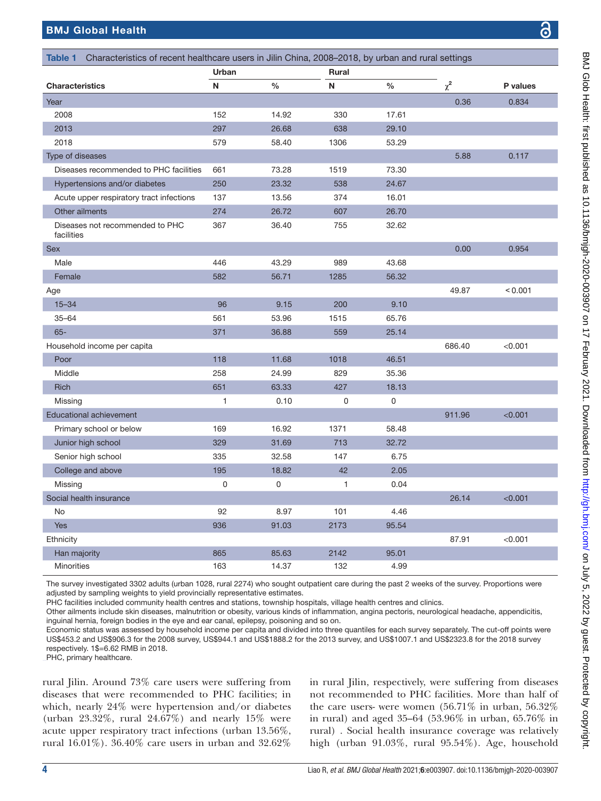<span id="page-3-0"></span>

| Characteristics of recent healthcare users in Jilin China, 2008-2018, by urban and rural settings |                       |       |      |               |          |          |  |
|---------------------------------------------------------------------------------------------------|-----------------------|-------|------|---------------|----------|----------|--|
| Table 1                                                                                           | Urban<br><b>Rural</b> |       |      |               |          |          |  |
| <b>Characteristics</b>                                                                            | N                     | $\%$  | N    | $\frac{0}{0}$ | $\chi^2$ | P values |  |
| Year                                                                                              |                       |       |      |               | 0.36     | 0.834    |  |
| 2008                                                                                              | 152                   | 14.92 | 330  | 17.61         |          |          |  |
| 2013                                                                                              | 297                   | 26.68 | 638  | 29.10         |          |          |  |
| 2018                                                                                              | 579                   | 58.40 | 1306 | 53.29         |          |          |  |
| Type of diseases                                                                                  |                       |       |      |               | 5.88     | 0.117    |  |
| Diseases recommended to PHC facilities                                                            | 661                   | 73.28 | 1519 | 73.30         |          |          |  |
| Hypertensions and/or diabetes                                                                     | 250                   | 23.32 | 538  | 24.67         |          |          |  |
| Acute upper respiratory tract infections                                                          | 137                   | 13.56 | 374  | 16.01         |          |          |  |
| Other ailments                                                                                    | 274                   | 26.72 | 607  | 26.70         |          |          |  |
| Diseases not recommended to PHC<br>facilities                                                     | 367                   | 36.40 | 755  | 32.62         |          |          |  |
| <b>Sex</b>                                                                                        |                       |       |      |               | 0.00     | 0.954    |  |
| Male                                                                                              | 446                   | 43.29 | 989  | 43.68         |          |          |  |
| Female                                                                                            | 582                   | 56.71 | 1285 | 56.32         |          |          |  |
| Age                                                                                               |                       |       |      |               | 49.87    | < 0.001  |  |
| $15 - 34$                                                                                         | 96                    | 9.15  | 200  | 9.10          |          |          |  |
| $35 - 64$                                                                                         | 561                   | 53.96 | 1515 | 65.76         |          |          |  |
| $65 -$                                                                                            | 371                   | 36.88 | 559  | 25.14         |          |          |  |
| Household income per capita                                                                       |                       |       |      |               | 686.40   | < 0.001  |  |
| Poor                                                                                              | 118                   | 11.68 | 1018 | 46.51         |          |          |  |
| Middle                                                                                            | 258                   | 24.99 | 829  | 35.36         |          |          |  |
| <b>Rich</b>                                                                                       | 651                   | 63.33 | 427  | 18.13         |          |          |  |
| Missing                                                                                           | 1                     | 0.10  | 0    | 0             |          |          |  |
| <b>Educational achievement</b>                                                                    |                       |       |      |               | 911.96   | < 0.001  |  |
| Primary school or below                                                                           | 169                   | 16.92 | 1371 | 58.48         |          |          |  |
| Junior high school                                                                                | 329                   | 31.69 | 713  | 32.72         |          |          |  |
| Senior high school                                                                                | 335                   | 32.58 | 147  | 6.75          |          |          |  |
| College and above                                                                                 | 195                   | 18.82 | 42   | 2.05          |          |          |  |
| Missing                                                                                           | 0                     | 0     | 1    | 0.04          |          |          |  |
| Social health insurance                                                                           |                       |       |      |               | 26.14    | < 0.001  |  |
| No                                                                                                | 92                    | 8.97  | 101  | 4.46          |          |          |  |
| Yes                                                                                               | 936                   | 91.03 | 2173 | 95.54         |          |          |  |
| Ethnicity                                                                                         |                       |       |      |               | 87.91    | < 0.001  |  |
| Han majority                                                                                      | 865                   | 85.63 | 2142 | 95.01         |          |          |  |
| <b>Minorities</b>                                                                                 | 163                   | 14.37 | 132  | 4.99          |          |          |  |

The survey investigated 3302 adults (urban 1028, rural 2274) who sought outpatient care during the past 2 weeks of the survey. Proportions were adjusted by sampling weights to yield provincially representative estimates.

PHC facilities included community health centres and stations, township hospitals, village health centres and clinics.

Other ailments include skin diseases, malnutrition or obesity, various kinds of inflammation, angina pectoris, neurological headache, appendicitis, inguinal hernia, foreign bodies in the eye and ear canal, epilepsy, poisoning and so on.

Economic status was assessed by household income per capita and divided into three quantiles for each survey separately. The cut-off points were US\$453.2 and US\$906.3 for the 2008 survey, US\$944.1 and US\$1888.2 for the 2013 survey, and US\$1007.1 and US\$2323.8 for the 2018 survey respectively. 1\$=6.62 RMB in 2018.

PHC, primary healthcare.

rural Jilin. Around 73% care users were suffering from diseases that were recommended to PHC facilities; in which, nearly 24% were hypertension and/or diabetes (urban 23.32%, rural 24.67%) and nearly 15% were acute upper respiratory tract infections (urban 13.56%, rural 16.01%). 36.40% care users in urban and 32.62%

in rural Jilin, respectively, were suffering from diseases not recommended to PHC facilities. More than half of the care users- were women (56.71% in urban, 56.32% in rural) and aged 35–64 (53.96% in urban, 65.76% in rural) . Social health insurance coverage was relatively high (urban 91.03%, rural 95.54%). Age, household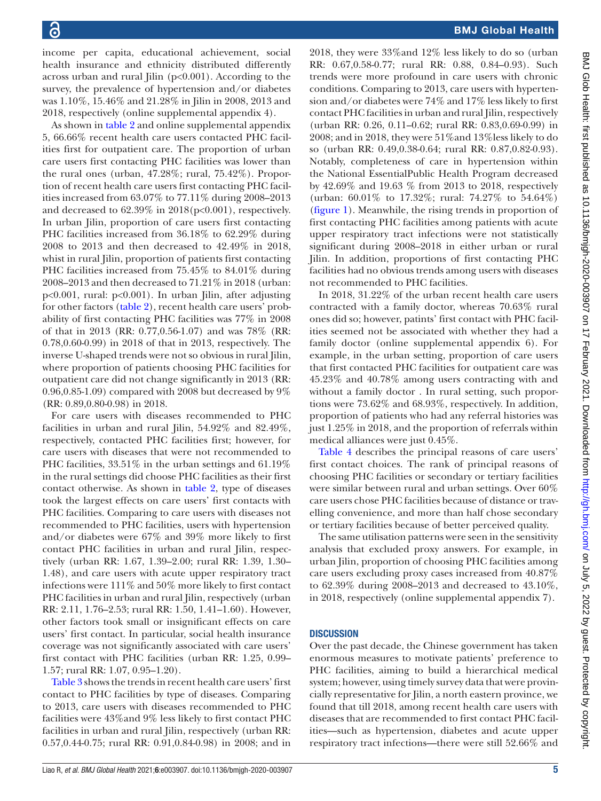income per capita, educational achievement, social health insurance and ethnicity distributed differently across urban and rural Jilin  $(p<0.001)$ . According to the survey, the prevalence of hypertension and/or diabetes was 1.10%, 15.46% and 21.28% in Jilin in 2008, 2013 and 2018, respectively [\(online supplemental appendix 4\)](https://dx.doi.org/10.1136/bmjgh-2020-003907).

As shown in [table](#page-5-0) 2 and [online supplemental appendix](https://dx.doi.org/10.1136/bmjgh-2020-003907) [5](https://dx.doi.org/10.1136/bmjgh-2020-003907), 66.66% recent health care users contacted PHC facilities first for outpatient care. The proportion of urban care users first contacting PHC facilities was lower than the rural ones (urban, 47.28%; rural, 75.42%). Proportion of recent health care users first contacting PHC facilities increased from 63.07% to 77.11% during 2008–2013 and decreased to  $62.39\%$  in  $2018(p<0.001)$ , respectively. In urban Jilin, proportion of care users first contacting PHC facilities increased from 36.18% to 62.29% during 2008 to 2013 and then decreased to 42.49% in 2018, whist in rural Jilin, proportion of patients first contacting PHC facilities increased from 75.45% to 84.01% during 2008–2013 and then decreased to 71.21% in 2018 (urban: p<0.001, rural: p<0.001). In urban Jilin, after adjusting for other factors ([table](#page-5-0) 2), recent health care users' probability of first contacting PHC facilities was 77% in 2008 of that in 2013 (RR: 0.77,0.56-1.07) and was 78% (RR: 0.78,0.60-0.99) in 2018 of that in 2013, respectively. The inverse U-shaped trends were not so obvious in rural Jilin, where proportion of patients choosing PHC facilities for outpatient care did not change significantly in 2013 (RR: 0.96,0.85-1.09) compared with 2008 but decreased by 9% (RR: 0.89,0.80-0.98) in 2018.

For care users with diseases recommended to PHC facilities in urban and rural Jilin, 54.92% and 82.49%, respectively, contacted PHC facilities first; however, for care users with diseases that were not recommended to PHC facilities,  $33.51\%$  in the urban settings and  $61.19\%$ in the rural settings did choose PHC facilities as their first contact otherwise. As shown in [table](#page-5-0) 2, type of diseases took the largest effects on care users' first contacts with PHC facilities. Comparing to care users with diseases not recommended to PHC facilities, users with hypertension and/or diabetes were 67% and 39% more likely to first contact PHC facilities in urban and rural Jilin, respectively (urban RR: 1.67, 1.39–2.00; rural RR: 1.39, 1.30– 1.48), and care users with acute upper respiratory tract infections were 111% and 50% more likely to first contact PHC facilities in urban and rural Jilin, respectively (urban RR: 2.11, 1.76–2.53; rural RR: 1.50, 1.41–1.60). However, other factors took small or insignificant effects on care users' first contact. In particular, social health insurance coverage was not significantly associated with care users' first contact with PHC facilities (urban RR: 1.25, 0.99– 1.57; rural RR: 1.07, 0.95–1.20).

[Table](#page-6-0) 3 shows the trends in recent health care users' first contact to PHC facilities by type of diseases. Comparing to 2013, care users with diseases recommended to PHC facilities were 43%and 9% less likely to first contact PHC facilities in urban and rural Jilin, respectively (urban RR: 0.57,0.44-0.75; rural RR: 0.91,0.84-0.98) in 2008; and in

2018, they were 33%and 12% less likely to do so (urban RR: 0.67,0.58-0.77; rural RR: 0.88, 0.84–0.93). Such trends were more profound in care users with chronic conditions. Comparing to 2013, care users with hypertension and/or diabetes were 74% and 17% less likely to first contact PHC facilities in urban and rural Jilin, respectively (urban RR: 0.26, 0.11–0.62; rural RR: 0.83,0.69-0.99) in 2008; and in 2018, they were 51%and 13%less likely to do so (urban RR: 0.49,0.38-0.64; rural RR: 0.87,0.82-0.93). Notably, completeness of care in hypertension within the National EssentialPublic Health Program decreased by 42.69% and 19.63 % from 2013 to 2018, respectively (urban: 60.01% to 17.32%; rural: 74.27% to 54.64%) [\(figure](#page-7-0) 1). Meanwhile, the rising trends in proportion of first contacting PHC facilities among patients with acute upper respiratory tract infections were not statistically significant during 2008–2018 in either urban or rural Jilin. In addition, proportions of first contacting PHC facilities had no obvious trends among users with diseases not recommended to PHC facilities.

In 2018, 31.22% of the urban recent health care users contracted with a family doctor, whereas 70.63% rural ones did so; however, patints' first contact with PHC facilities seemed not be associated with whether they had a family doctor ([online supplemental appendix 6](https://dx.doi.org/10.1136/bmjgh-2020-003907)). For example, in the urban setting, proportion of care users that first contacted PHC facilities for outpatient care was 45.23% and 40.78% among users contracting with and without a family doctor . In rural setting, such proportions were 73.62% and 68.93%, respectively. In addition, proportion of patients who had any referral histories was just 1.25% in 2018, and the proportion of referrals within medical alliances were just 0.45%.

[Table](#page-7-1) 4 describes the principal reasons of care users' first contact choices. The rank of principal reasons of choosing PHC facilities or secondary or tertiary facilities were similar between rural and urban settings. Over 60% care users chose PHC facilities because of distance or travelling convenience, and more than half chose secondary or tertiary facilities because of better perceived quality.

The same utilisation patterns were seen in the sensitivity analysis that excluded proxy answers. For example, in urban Jilin, proportion of choosing PHC facilities among care users excluding proxy cases increased from 40.87% to 62.39% during 2008–2013 and decreased to 43.10%, in 2018, respectively [\(online supplemental appendix 7](https://dx.doi.org/10.1136/bmjgh-2020-003907)).

#### **DISCUSSION**

Over the past decade, the Chinese government has taken enormous measures to motivate patients' preference to PHC facilities, aiming to build a hierarchical medical system; however, using timely survey data that were provincially representative for Jilin, a north eastern province, we found that till 2018, among recent health care users with diseases that are recommended to first contact PHC facilities—such as hypertension, diabetes and acute upper respiratory tract infections—there were still 52.66% and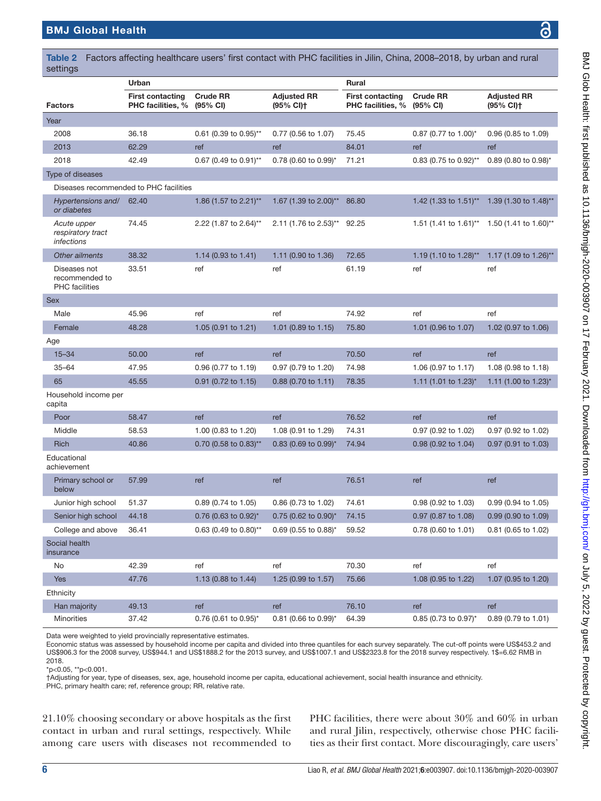| settings                                                |                                              |                             |                                             |                                                     |                                    |                                             |  |
|---------------------------------------------------------|----------------------------------------------|-----------------------------|---------------------------------------------|-----------------------------------------------------|------------------------------------|---------------------------------------------|--|
|                                                         | Urban                                        |                             |                                             | <b>Rural</b>                                        |                                    |                                             |  |
| <b>Factors</b>                                          | <b>First contacting</b><br>PHC facilities, % | <b>Crude RR</b><br>(95% CI) | <b>Adjusted RR</b><br>(95% CI) <sup>+</sup> | <b>First contacting</b><br><b>PHC facilities, %</b> | <b>Crude RR</b><br>(95% CI)        | <b>Adjusted RR</b><br>(95% CI) <sup>+</sup> |  |
| Year                                                    |                                              |                             |                                             |                                                     |                                    |                                             |  |
| 2008                                                    | 36.18                                        | 0.61 (0.39 to 0.95)**       | 0.77 (0.56 to 1.07)                         | 75.45                                               | 0.87 (0.77 to 1.00)*               | 0.96 (0.85 to 1.09)                         |  |
| 2013                                                    | 62.29                                        | ref                         | ref                                         | 84.01                                               | ref                                | ref                                         |  |
| 2018                                                    | 42.49                                        | 0.67 (0.49 to 0.91)**       | $0.78$ (0.60 to 0.99) <sup>*</sup>          | 71.21                                               | 0.83 (0.75 to 0.92)**              | $0.89$ (0.80 to 0.98)*                      |  |
| Type of diseases                                        |                                              |                             |                                             |                                                     |                                    |                                             |  |
| Diseases recommended to PHC facilities                  |                                              |                             |                                             |                                                     |                                    |                                             |  |
| Hypertensions and/<br>or diabetes                       | 62.40                                        | 1.86 (1.57 to 2.21)**       | 1.67 (1.39 to 2.00)**                       | 86.80                                               | 1.42 (1.33 to 1.51)**              | 1.39 (1.30 to 1.48)**                       |  |
| Acute upper<br>respiratory tract<br><i>infections</i>   | 74.45                                        | 2.22 (1.87 to 2.64)**       | 2.11 (1.76 to 2.53)**                       | 92.25                                               | 1.51 (1.41 to 1.61)**              | 1.50 (1.41 to 1.60)**                       |  |
| Other ailments                                          | 38.32                                        | 1.14 (0.93 to 1.41)         | 1.11 (0.90 to 1.36)                         | 72.65                                               | 1.19 (1.10 to 1.28)**              | 1.17 (1.09 to 1.26)**                       |  |
| Diseases not<br>recommended to<br><b>PHC</b> facilities | 33.51                                        | ref                         | ref                                         | 61.19                                               | ref                                | ref                                         |  |
| <b>Sex</b>                                              |                                              |                             |                                             |                                                     |                                    |                                             |  |
| Male                                                    | 45.96                                        | ref                         | ref                                         | 74.92                                               | ref                                | ref                                         |  |
| Female                                                  | 48.28                                        | 1.05 (0.91 to 1.21)         | 1.01 (0.89 to 1.15)                         | 75.80                                               | 1.01 (0.96 to 1.07)                | 1.02 (0.97 to 1.06)                         |  |
| Age                                                     |                                              |                             |                                             |                                                     |                                    |                                             |  |
| $15 - 34$                                               | 50.00                                        | ref                         | ref                                         | 70.50                                               | ref                                | ref                                         |  |
| $35 - 64$                                               | 47.95                                        | 0.96 (0.77 to 1.19)         | 0.97 (0.79 to 1.20)                         | 74.98                                               | 1.06 (0.97 to 1.17)                | 1.08 (0.98 to 1.18)                         |  |
| 65                                                      | 45.55                                        | 0.91 (0.72 to 1.15)         | $0.88$ (0.70 to 1.11)                       | 78.35                                               | 1.11 (1.01 to 1.23)*               | 1.11 (1.00 to 1.23)*                        |  |
| Household income per<br>capita                          |                                              |                             |                                             |                                                     |                                    |                                             |  |
| Poor                                                    | 58.47                                        | ref                         | ref                                         | 76.52                                               | ref                                | ref                                         |  |
| Middle                                                  | 58.53                                        | 1.00 (0.83 to 1.20)         | 1.08 (0.91 to 1.29)                         | 74.31                                               | 0.97 (0.92 to 1.02)                | 0.97 (0.92 to 1.02)                         |  |
| Rich                                                    | 40.86                                        | $0.70$ (0.58 to 0.83)**     | $0.83$ (0.69 to 0.99)*                      | 74.94                                               | 0.98 (0.92 to 1.04)                | 0.97 (0.91 to 1.03)                         |  |
| Educational<br>achievement                              |                                              |                             |                                             |                                                     |                                    |                                             |  |
| Primary school or<br>below                              | 57.99                                        | ref                         | ref                                         | 76.51                                               | ref                                | ref                                         |  |
| Junior high school                                      | 51.37                                        | 0.89 (0.74 to 1.05)         | 0.86 (0.73 to 1.02)                         | 74.61                                               | 0.98 (0.92 to 1.03)                | 0.99 (0.94 to 1.05)                         |  |
| Senior high school                                      | 44.18                                        | 0.76 (0.63 to 0.92)*        | 0.75 (0.62 to 0.90)*                        | 74.15                                               | 0.97 (0.87 to 1.08)                | 0.99 (0.90 to 1.09)                         |  |
| College and above                                       | 36.41                                        | 0.63 (0.49 to 0.80)**       | 0.69 (0.55 to 0.88)*                        | 59.52                                               | 0.78 (0.60 to 1.01)                | 0.81 (0.65 to 1.02)                         |  |
| Social health<br>insurance                              |                                              |                             |                                             |                                                     |                                    |                                             |  |
| No                                                      | 42.39                                        | ref                         | ref                                         | 70.30                                               | ref                                | ref                                         |  |
| <b>Yes</b>                                              | 47.76                                        | 1.13 (0.88 to 1.44)         | 1.25 (0.99 to 1.57)                         | 75.66                                               | 1.08 (0.95 to 1.22)                | 1.07 (0.95 to 1.20)                         |  |
| Ethnicity                                               |                                              |                             |                                             |                                                     |                                    |                                             |  |
| Han majority                                            | 49.13                                        | ref                         | ref                                         | 76.10                                               | ref                                | ref                                         |  |
| Minorities                                              | 37.42                                        | 0.76 (0.61 to 0.95)*        | $0.81$ (0.66 to 0.99)*                      | 64.39                                               | $0.85$ (0.73 to 0.97) <sup>*</sup> | 0.89 (0.79 to 1.01)                         |  |

<span id="page-5-0"></span>Table 2 Factors affecting healthcare users' first contact with PHC facilities in Jilin, China, 2008–2018, by urban and rural

Data were weighted to yield provincially representative estimates.

Economic status was assessed by household income per capita and divided into three quantiles for each survey separately. The cut-off points were US\$453.2 and US\$906.3 for the 2008 survey, US\$944.1 and US\$1888.2 for the 2013 survey, and US\$1007.1 and US\$2323.8 for the 2018 survey respectively. 1\$=6.62 RMB in 2018.

\*p<0.05, \*\*p<0.001.

†Adjusting for year, type of diseases, sex, age, household income per capita, educational achievement, social health insurance and ethnicity.

PHC, primary health care; ref, reference group; RR, relative rate.

21.10% choosing secondary or above hospitals as the first contact in urban and rural settings, respectively. While among care users with diseases not recommended to

PHC facilities, there were about 30% and 60% in urban and rural Jilin, respectively, otherwise chose PHC facilities as their first contact. More discouragingly, care users'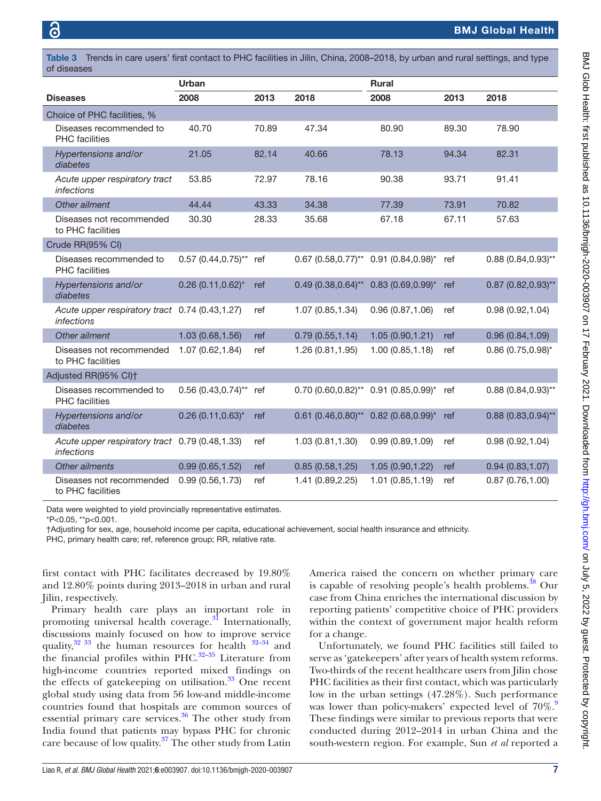<span id="page-6-0"></span>Table 3 Trends in care users' first contact to PHC facilities in Jilin, China, 2008–2018, by urban and rural settings, and type of diseases

|                                                                     | <b>Urban</b>           |       |                                        | <b>Rural</b>           |       |                        |  |
|---------------------------------------------------------------------|------------------------|-------|----------------------------------------|------------------------|-------|------------------------|--|
| <b>Diseases</b>                                                     | 2008                   | 2013  | 2018                                   | 2008                   | 2013  | 2018                   |  |
| Choice of PHC facilities, %                                         |                        |       |                                        |                        |       |                        |  |
| Diseases recommended to<br><b>PHC</b> facilities                    | 40.70                  | 70.89 | 47.34                                  | 80.90                  | 89.30 | 78.90                  |  |
| Hypertensions and/or<br>diabetes                                    | 21.05                  | 82.14 | 40.66                                  | 78.13                  | 94.34 | 82.31                  |  |
| Acute upper respiratory tract<br>infections                         | 53.85                  | 72.97 | 78.16                                  | 90.38                  | 93.71 | 91.41                  |  |
| Other ailment                                                       | 44.44                  | 43.33 | 34.38                                  | 77.39                  | 73.91 | 70.82                  |  |
| Diseases not recommended<br>to PHC facilities                       | 30.30                  | 28.33 | 35.68                                  | 67.18                  | 67.11 | 57.63                  |  |
| Crude RR(95% CI)                                                    |                        |       |                                        |                        |       |                        |  |
| Diseases recommended to<br><b>PHC</b> facilities                    | $0.57$ (0.44,0.75)**   | ref   | $0.67$ (0.58,0.77)** 0.91 (0.84,0.98)* |                        | ref   | $0.88(0.84, 0.93)$ **  |  |
| Hypertensions and/or<br>diabetes                                    | $0.26(0.11, 0.62)^{*}$ | ref   | $0.49(0.38, 0.64)$ **                  | $0.83(0.69, 0.99)^{*}$ | ref   | $0.87$ (0.82,0.93)**   |  |
| Acute upper respiratory tract 0.74 (0.43,1.27)<br><i>infections</i> |                        | ref   | 1.07 (0.85,1.34)                       | 0.96(0.87, 1.06)       | ref   | 0.98(0.92, 1.04)       |  |
| Other ailment                                                       | 1.03 (0.68,1.56)       | ref   | 0.79(0.55, 1.14)                       | 1.05(0.90, 1.21)       | ref   | 0.96(0.84, 1.09)       |  |
| Diseases not recommended<br>to PHC facilities                       | 1.07(0.62, 1.84)       | ref   | 1.26(0.81, 1.95)                       | 1.00(0.85, 1.18)       | ref   | $0.86(0.75, 0.98)^{*}$ |  |
| Adjusted RR(95% CI)+                                                |                        |       |                                        |                        |       |                        |  |
| Diseases recommended to<br><b>PHC</b> facilities                    | $0.56(0.43, 0.74)$ **  | ref   | $0.70$ (0.60,0.82)** 0.91 (0.85,0.99)* |                        | ref   | $0.88(0.84, 0.93)$ **  |  |
| Hypertensions and/or<br>diabetes                                    | $0.26(0.11, 0.63)^{*}$ | ref   | $0.61$ $(0.46, 0.80)$ **               | $0.82$ (0.68,0.99)*    | ref   | $0.88(0.83, 0.94)$ **  |  |
| Acute upper respiratory tract 0.79 (0.48,1.33)<br>infections        |                        | ref   | 1.03(0.81, 1.30)                       | 0.99(0.89, 1.09)       | ref   | 0.98(0.92, 1.04)       |  |
| Other ailments                                                      | 0.99(0.65, 1.52)       | ref   | 0.85(0.58, 1.25)                       | 1.05 (0.90, 1.22)      | ref   | 0.94(0.83, 1.07)       |  |
| Diseases not recommended<br>to PHC facilities                       | 0.99(0.56, 1.73)       | ref   | 1.41 (0.89,2.25)                       | 1.01 (0.85,1.19)       | ref   | 0.87(0.76, 1.00)       |  |

Data were weighted to yield provincially representative estimates.

\*P<0.05, \*\*p<0.001.

†Adjusting for sex, age, household income per capita, educational achievement, social health insurance and ethnicity.

PHC, primary health care; ref, reference group; RR, relative rate.

first contact with PHC facilitates decreased by 19.80% and 12.80% points during 2013–2018 in urban and rural Jilin, respectively.

Primary health care plays an important role in promoting universal health coverage. $^{31}$  Internationally, discussions mainly focused on how to improve service quality, $32 \times 33$  the human resources for health  $32-34$  and the financial profiles within PHC. $32-35$  Literature from high-income countries reported mixed findings on the effects of gatekeeping on utilisation. $33$  One recent global study using data from 56 low-and middle-income countries found that hospitals are common sources of essential primary care services. $36$  The other study from India found that patients may bypass PHC for chronic care because of low quality.[37](#page-9-23) The other study from Latin

America raised the concern on whether primary care is capable of resolving people's health problems. $38$  Our case from China enriches the international discussion by reporting patients' competitive choice of PHC providers within the context of government major health reform for a change.

Unfortunately, we found PHC facilities still failed to serve as 'gatekeepers' after years of health system reforms. Two-thirds of the recent healthcare users from Jilin chose PHC facilities as their first contact, which was particularly low in the urban settings (47.28%). Such performance was lower than policy-makers' expected level of  $70\%$ . These findings were similar to previous reports that were conducted during 2012–2014 in urban China and the south-western region. For example, Sun *et al* reported a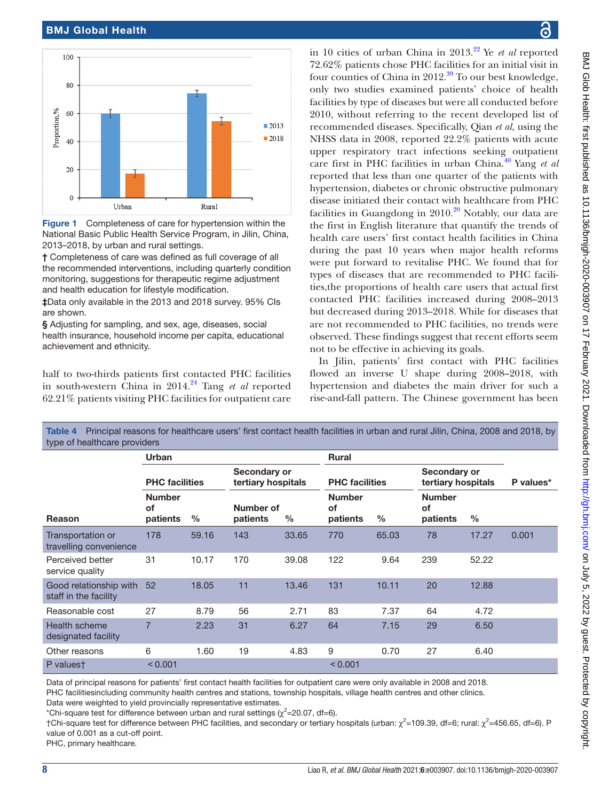#### BMJ Global Health



<span id="page-7-0"></span>Figure 1 Completeness of care for hypertension within the National Basic Public Health Service Program, in Jilin, China, 2013–2018, by urban and rural settings.

† Completeness of care was defined as full coverage of all the recommended interventions, including quarterly condition monitoring, suggestions for therapeutic regime adjustment and health education for lifestyle modification.

‡Data only available in the 2013 and 2018 survey. 95% CIs are shown.

§ Adjusting for sampling, and sex, age, diseases, social health insurance, household income per capita, educational achievement and ethnicity.

half to two-thirds patients first contacted PHC facilities in south-western China in 2014.<sup>[24](#page-9-25)</sup> Tang *et al* reported 62.21% patients visiting PHC facilities for outpatient care

in 10 cities of urban China in 2013[.22](#page-9-26) Ye *et al* reported 72.62% patients chose PHC facilities for an initial visit in four counties of China in  $2012<sup>39</sup>$  $2012<sup>39</sup>$  $2012<sup>39</sup>$  To our best knowledge. only two studies examined patients' choice of health facilities by type of diseases but were all conducted before 2010, without referring to the recent developed list of recommended diseases. Specifically, Qian *et al,* using the NHSS data in 2008, reported 22.2% patients with acute upper respiratory tract infections seeking outpatient care first in PHC facilities in urban China.[40](#page-10-0) Yang *et al* reported that less than one quarter of the patients with hypertension, diabetes or chronic obstructive pulmonary disease initiated their contact with healthcare from PHC facilities in Guangdong in  $2010<sup>20</sup>$  $2010<sup>20</sup>$  Notably, our data are the first in English literature that quantify the trends of health care users' first contact health facilities in China during the past 10 years when major health reforms were put forward to revitalise PHC. We found that for types of diseases that are recommended to PHC facilities,the proportions of health care users that actual first contacted PHC facilities increased during 2008–2013 but decreased during 2013–2018. While for diseases that are not recommended to PHC facilities, no trends were observed. These findings suggest that recent efforts seem not to be effective in achieving its goals.

In Jilin, patients' first contact with PHC facilities flowed an inverse U shape during 2008–2018, with hypertension and diabetes the main driver for such a rise-and-fall pattern. The Chinese government has been

| <b>TODIO I</b> THIS POST TO ACCOUNT TO A TIOMATION OF MOSTO THIS CONTRACT HOMAN OUTLING OF MINITED INTERNATIONAL CHILD, OTHERS, LOOD MINITED IV,<br>type of healthcare providers |                                 |               |                                    |       |                                 |       |                                        |       |           |  |
|----------------------------------------------------------------------------------------------------------------------------------------------------------------------------------|---------------------------------|---------------|------------------------------------|-------|---------------------------------|-------|----------------------------------------|-------|-----------|--|
|                                                                                                                                                                                  | Urban                           |               |                                    |       | Rural                           |       |                                        |       |           |  |
|                                                                                                                                                                                  | <b>PHC</b> facilities           |               | Secondary or<br>tertiary hospitals |       | <b>PHC facilities</b>           |       | Secondary or<br>tertiary hospitals     |       | P values* |  |
| Reason                                                                                                                                                                           | <b>Number</b><br>οf<br>patients | $\frac{0}{0}$ | Number of<br>patients              | %     | <b>Number</b><br>οf<br>patients | $\%$  | <b>Number</b><br><b>of</b><br>patients | $\%$  |           |  |
| Transportation or<br>travelling convenience                                                                                                                                      | 178                             | 59.16         | 143                                | 33.65 | 770                             | 65.03 | 78                                     | 17.27 | 0.001     |  |
| Perceived better<br>service quality                                                                                                                                              | 31                              | 10.17         | 170                                | 39.08 | 122                             | 9.64  | 239                                    | 52.22 |           |  |
| Good relationship with<br>staff in the facility                                                                                                                                  | 52                              | 18.05         | 11                                 | 13.46 | 131                             | 10.11 | 20                                     | 12.88 |           |  |
| Reasonable cost                                                                                                                                                                  | 27                              | 8.79          | 56                                 | 2.71  | 83                              | 7.37  | 64                                     | 4.72  |           |  |
| Health scheme<br>designated facility                                                                                                                                             | 7                               | 2.23          | 31                                 | 6.27  | 64                              | 7.15  | 29                                     | 6.50  |           |  |
| Other reasons                                                                                                                                                                    | 6                               | 1.60          | 19                                 | 4.83  | 9                               | 0.70  | 27                                     | 6.40  |           |  |
| P valuest                                                                                                                                                                        | < 0.001                         |               |                                    |       | < 0.001                         |       |                                        |       |           |  |

<span id="page-7-1"></span>Table 4 Principal reasons for healthcare users' first contact health facilities in urban and rural Jilin, China, 2008 and 2018, by

Data of principal reasons for patients' first contact health facilities for outpatient care were only available in 2008 and 2018. PHC facilitiesincluding community health centres and stations, township hospitals, village health centres and other clinics.

Data were weighted to yield provincially representative estimates.

\*Chi-square test for difference between urban and rural settings ( $\chi^2$ =20.07, df=6).

†Chi-square test for difference between PHC facilities, and secondary or tertiary hospitals (urban:  $\chi^2$ =109.39, df=6; rural:  $\chi^2$ =456.65, df=6). P value of 0.001 as a cut-off point.

PHC, primary healthcare.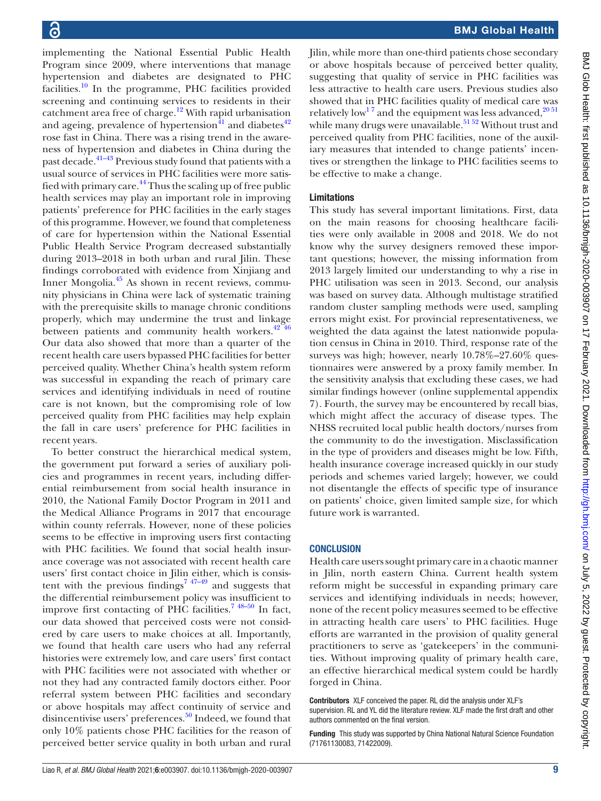implementing the National Essential Public Health Program since 2009, where interventions that manage hypertension and diabetes are designated to PHC facilities. $\frac{10}{10}$  In the programme, PHC facilities provided screening and continuing services to residents in their catchment area free of charge.<sup>12</sup> With rapid urbanisation and ageing, prevalence of hypertension<sup>41</sup> and diabetes<sup>42</sup> rose fast in China. There was a rising trend in the awareness of hypertension and diabetes in China during the past decade.<sup>[41–43](#page-10-1)</sup> Previous study found that patients with a usual source of services in PHC facilities were more satisfied with primary care.<sup>44</sup> Thus the scaling up of free public health services may play an important role in improving patients' preference for PHC facilities in the early stages of this programme. However, we found that completeness of care for hypertension within the National Essential Public Health Service Program decreased substantially during 2013–2018 in both urban and rural Jilin. These findings corroborated with evidence from Xinjiang and Inner Mongolia.[45](#page-10-4) As shown in recent reviews, community physicians in China were lack of systematic training with the prerequisite skills to manage chronic conditions properly, which may undermine the trust and linkage between patients and community health workers. $42\frac{42}{16}$ Our data also showed that more than a quarter of the recent health care users bypassed PHC facilities for better perceived quality. Whether China's health system reform was successful in expanding the reach of primary care services and identifying individuals in need of routine care is not known, but the compromising role of low perceived quality from PHC facilities may help explain the fall in care users' preference for PHC facilities in recent years.

To better construct the hierarchical medical system, the government put forward a series of auxiliary policies and programmes in recent years, including differential reimbursement from social health insurance in 2010, the National Family Doctor Program in 2011 and the Medical Alliance Programs in 2017 that encourage within county referrals. However, none of these policies seems to be effective in improving users first contacting with PHC facilities. We found that social health insurance coverage was not associated with recent health care users' first contact choice in Jilin either, which is consistent with the previous findings<sup>7</sup>  $47-49$  and suggests that the differential reimbursement policy was insufficient to improve first contacting of PHC facilities.<sup>7</sup> <sup>48–50</sup> In fact, our data showed that perceived costs were not considered by care users to make choices at all. Importantly, we found that health care users who had any referral histories were extremely low, and care users' first contact with PHC facilities were not associated with whether or not they had any contracted family doctors either. Poor referral system between PHC facilities and secondary or above hospitals may affect continuity of service and disincentivise users' preferences.<sup>[50](#page-10-5)</sup> Indeed, we found that only 10% patients chose PHC facilities for the reason of perceived better service quality in both urban and rural

Jilin, while more than one-third patients chose secondary or above hospitals because of perceived better quality, suggesting that quality of service in PHC facilities was less attractive to health care users. Previous studies also showed that in PHC facilities quality of medical care was relatively low<sup>17</sup> and the equipment was less advanced,  $2^{0.51}$ while many drugs were unavailable.<sup>51 52</sup> Without trust and perceived quality from PHC facilities, none of the auxiliary measures that intended to change patients' incentives or strengthen the linkage to PHC facilities seems to be effective to make a change.

#### Limitations

This study has several important limitations. First, data on the main reasons for choosing healthcare facilities were only available in 2008 and 2018. We do not know why the survey designers removed these important questions; however, the missing information from 2013 largely limited our understanding to why a rise in PHC utilisation was seen in 2013. Second, our analysis was based on survey data. Although multistage stratified random cluster sampling methods were used, sampling errors might exist. For provincial representativeness, we weighted the data against the latest nationwide population census in China in 2010. Third, response rate of the surveys was high; however, nearly 10.78%–27.60% questionnaires were answered by a proxy family member. In the sensitivity analysis that excluding these cases, we had similar findings however ([online supplemental appendix](https://dx.doi.org/10.1136/bmjgh-2020-003907) [7](https://dx.doi.org/10.1136/bmjgh-2020-003907)). Fourth, the survey may be encountered by recall bias, which might affect the accuracy of disease types. The NHSS recruited local public health doctors/nurses from the community to do the investigation. Misclassification in the type of providers and diseases might be low. Fifth, health insurance coverage increased quickly in our study periods and schemes varied largely; however, we could not disentangle the effects of specific type of insurance on patients' choice, given limited sample size, for which future work is warranted.

#### **CONCLUSION**

Health care users sought primary care in a chaotic manner in Jilin, north eastern China. Current health system reform might be successful in expanding primary care services and identifying individuals in needs; however, none of the recent policy measures seemed to be effective in attracting health care users' to PHC facilities. Huge efforts are warranted in the provision of quality general practitioners to serve as 'gatekeepers' in the communities. Without improving quality of primary health care, an effective hierarchical medical system could be hardly forged in China.

Contributors XLF conceived the paper. RL did the analysis under XLF's supervision. RL and YL did the literature review. XLF made the first draft and other authors commented on the final version.

Funding This study was supported by China National Natural Science Foundation (71761130083, 71422009).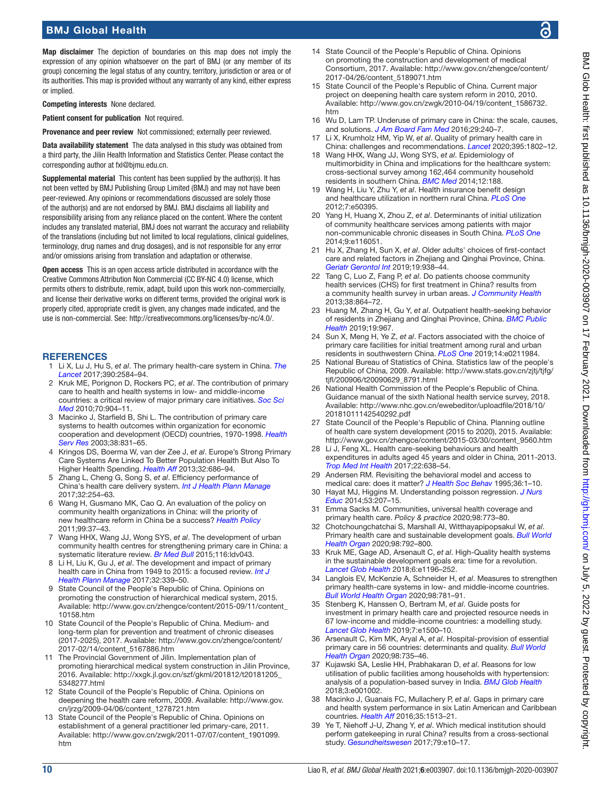Map disclaimer The depiction of boundaries on this map does not imply the expression of any opinion whatsoever on the part of BMJ (or any member of its group) concerning the legal status of any country, territory, jurisdiction or area or of its authorities. This map is provided without any warranty of any kind, either express or implied.

Competing interests None declared.

Patient consent for publication Not required.

Provenance and peer review Not commissioned; externally peer reviewed.

Data availability statement The data analysed in this study was obtained from a third party, the Jilin Health Information and Statistics Center. Please contact the corresponding author at fxl@bjmu.edu.cn.

Supplemental material This content has been supplied by the author(s). It has not been vetted by BMJ Publishing Group Limited (BMJ) and may not have been peer-reviewed. Any opinions or recommendations discussed are solely those of the author(s) and are not endorsed by BMJ. BMJ disclaims all liability and responsibility arising from any reliance placed on the content. Where the content includes any translated material, BMJ does not warrant the accuracy and reliability of the translations (including but not limited to local regulations, clinical guidelines, terminology, drug names and drug dosages), and is not responsible for any error and/or omissions arising from translation and adaptation or otherwise.

Open access This is an open access article distributed in accordance with the Creative Commons Attribution Non Commercial (CC BY-NC 4.0) license, which permits others to distribute, remix, adapt, build upon this work non-commercially, and license their derivative works on different terms, provided the original work is properly cited, appropriate credit is given, any changes made indicated, and the use is non-commercial. See: [http://creativecommons.org/licenses/by-nc/4.0/.](http://creativecommons.org/licenses/by-nc/4.0/)

#### **REFERENCES**

- <span id="page-9-0"></span>1 Li X, Lu J, Hu S, *et al*. The primary health-care system in China. *[The](http://dx.doi.org/10.1016/S0140-6736(17)33109-4)  [Lancet](http://dx.doi.org/10.1016/S0140-6736(17)33109-4)* 2017;390:2584–94.
- <span id="page-9-1"></span>2 Kruk ME, Porignon D, Rockers PC, *et al*. The contribution of primary care to health and health systems in low- and middle-income countries: a critical review of major primary care initiatives. *[Soc Sci](http://dx.doi.org/10.1016/j.socscimed.2009.11.025)  [Med](http://dx.doi.org/10.1016/j.socscimed.2009.11.025)* 2010;70:904–11.
- <span id="page-9-2"></span>3 Macinko J, Starfield B, Shi L. The contribution of primary care systems to health outcomes within organization for economic cooperation and development (OECD) countries, 1970-1998. *[Health](http://dx.doi.org/10.1111/1475-6773.00149)  [Serv Res](http://dx.doi.org/10.1111/1475-6773.00149)* 2003;38:831–65.
- 4 Kringos DS, Boerma W, van der Zee J, *et al*. Europe's Strong Primary Care Systems Are Linked To Better Population Health But Also To Higher Health Spending. *[Health Aff](http://dx.doi.org/10.1377/hlthaff.2012.1242)* 2013;32:686–94.
- <span id="page-9-3"></span>5 Zhang L, Cheng G, Song S, *et al*. Efficiency performance of China's health care delivery system. *[Int J Health Plann Manage](http://dx.doi.org/10.1002/hpm.2425)* 2017;32:254–63.
- <span id="page-9-4"></span>6 Wang H, Gusmano MK, Cao Q. An evaluation of the policy on community health organizations in China: will the priority of new healthcare reform in China be a success? *[Health Policy](http://dx.doi.org/10.1016/j.healthpol.2010.07.003)* 2011;99:37–43.
- <span id="page-9-29"></span>7 Wang HHX, Wang JJ, Wong SYS, *et al*. The development of urban community health centres for strengthening primary care in China: a systematic literature review. *[Br Med Bull](http://dx.doi.org/10.1093/bmb/ldv043)* 2015;116:ldv043.
- 8 Li H, Liu K, Gu J, *et al*. The development and impact of primary health care in China from 1949 to 2015: a focused review. *[Int J](http://dx.doi.org/10.1002/hpm.2435)  [Health Plann Manage](http://dx.doi.org/10.1002/hpm.2435)* 2017;32:339–50.
- <span id="page-9-5"></span>9 State Council of the People's Republic of China. Opinions on promoting the construction of hierarchical medical system, 2015. Available: [http://www.gov.cn/zhengce/content/2015-09/11/content\\_](http://www.gov.cn/zhengce/content/2015-09/11/content_10158.htm) [10158.htm](http://www.gov.cn/zhengce/content/2015-09/11/content_10158.htm)
- <span id="page-9-6"></span>10 State Council of the People's Republic of China. Medium- and long-term plan for prevention and treatment of chronic diseases (2017-2025), 2017. Available: [http://www.gov.cn/zhengce/content/](http://www.gov.cn/zhengce/content/2017-02/14/content_5167886.htm) [2017-02/14/content\\_5167886.htm](http://www.gov.cn/zhengce/content/2017-02/14/content_5167886.htm)
- 11 The Provincial Government of Jilin. Implementation plan of promoting hierarchical medical system construction in Jilin Province, 2016. Available: [http://xxgk.jl.gov.cn/szf/gkml/201812/t20181205\\_](http://xxgk.jl.gov.cn/szf/gkml/201812/t20181205_5348277.html) [5348277.html](http://xxgk.jl.gov.cn/szf/gkml/201812/t20181205_5348277.html)
- <span id="page-9-7"></span>12 State Council of the People's Republic of China. Opinions on deepening the health care reform, 2009. Available: [http://www.gov.](http://www.gov.cn/jrzg/2009-04/06/content_1278721.htm) [cn/jrzg/2009-04/06/content\\_1278721.htm](http://www.gov.cn/jrzg/2009-04/06/content_1278721.htm)
- <span id="page-9-8"></span>13 State Council of the People's Republic of China. Opinions on establishment of a general practitioner led primary-care, 2011. Available: [http://www.gov.cn/zwgk/2011-07/07/content\\_1901099.](http://www.gov.cn/zwgk/2011-07/07/content_1901099.htm) [htm](http://www.gov.cn/zwgk/2011-07/07/content_1901099.htm)
- <span id="page-9-9"></span>14 State Council of the People's Republic of China. Opinions on promoting the construction and development of medical Consortium, 2017. Available: [http://www.gov.cn/zhengce/content/](http://www.gov.cn/zhengce/content/2017-04/26/content_5189071.htm) [2017-04/26/content\\_5189071.htm](http://www.gov.cn/zhengce/content/2017-04/26/content_5189071.htm)
- <span id="page-9-10"></span>15 State Council of the People's Republic of China. Current major project on deepening health care system reform in 2010, 2010. Available: [http://www.gov.cn/zwgk/2010-04/19/content\\_1586732.](http://www.gov.cn/zwgk/2010-04/19/content_1586732.htm) [htm](http://www.gov.cn/zwgk/2010-04/19/content_1586732.htm)
- 16 Wu D, Lam TP. Underuse of primary care in China: the scale, causes, and solutions. *[J Am Board Fam Med](http://dx.doi.org/10.3122/jabfm.2016.02.150159)* 2016;29:240–7.
- <span id="page-9-11"></span>17 Li X, Krumholz HM, Yip W, *et al*. Quality of primary health care in China: challenges and recommendations. *[Lancet](http://dx.doi.org/10.1016/S0140-6736(20)30122-7)* 2020;395:1802–12.
- <span id="page-9-12"></span>18 Wang HHX, Wang JJ, Wong SYS, *et al*. Epidemiology of multimorbidity in China and implications for the healthcare system: cross-sectional survey among 162,464 community household residents in southern China. *[BMC Med](http://dx.doi.org/10.1186/s12916-014-0188-0)* 2014;12:188.
- 19 Wang H, Liu Y, Zhu Y, *et al*. Health insurance benefit design and healthcare utilization in northern rural China. *[PLoS One](http://dx.doi.org/10.1371/journal.pone.0050395)* 2012;7:e50395.
- <span id="page-9-28"></span>20 Yang H, Huang X, Zhou Z, *et al*. Determinants of initial utilization of community healthcare services among patients with major non-communicable chronic diseases in South China. *[PLoS One](http://dx.doi.org/10.1371/journal.pone.0116051)* 2014;9:e116051.
- 21 Hu X, Zhang H, Sun X, *et al*. Older adults' choices of first-contact care and related factors in Zhejiang and Qinghai Province, China. *[Geriatr Gerontol Int](http://dx.doi.org/10.1111/ggi.13746)* 2019;19:938–44.
- <span id="page-9-26"></span>22 Tang C, Luo Z, Fang P, *et al*. Do patients choose community health services (CHS) for first treatment in China? results from a community health survey in urban areas. *[J Community Health](http://dx.doi.org/10.1007/s10900-013-9691-z)* 2013;38:864–72.
- 23 Huang M, Zhang H, Gu Y, *et al*. Outpatient health-seeking behavior of residents in Zhejiang and Qinghai Province, China. *[BMC Public](http://dx.doi.org/10.1186/s12889-019-7305-0)  [Health](http://dx.doi.org/10.1186/s12889-019-7305-0)* 2019;19:967.
- <span id="page-9-25"></span>24 Sun X, Meng H, Ye Z, *et al*. Factors associated with the choice of primary care facilities for initial treatment among rural and urban residents in southwestern China. *[PLoS One](http://dx.doi.org/10.1371/journal.pone.0211984)* 2019;14:e0211984.
- <span id="page-9-13"></span>25 National Bureau of Statistics of China. Statistics law of the people's Republic of China, 2009. Available: [http://www.stats.gov.cn/zjtj/tjfg/](http://www.stats.gov.cn/zjtj/tjfg/tjfl/200906/t20090629_8791.html) [tjfl/200906/t20090629\\_8791.html](http://www.stats.gov.cn/zjtj/tjfg/tjfl/200906/t20090629_8791.html)
- <span id="page-9-14"></span>26 National Health Commission of the People's Republic of China. Guidance manual of the sixth National health service survey, 2018. Available: [http://www.nhc.gov.cn/ewebeditor/uploadfile/2018/10/](http://www.nhc.gov.cn/ewebeditor/uploadfile/2018/10/20181011142540292.pdf) [20181011142540292.pdf](http://www.nhc.gov.cn/ewebeditor/uploadfile/2018/10/20181011142540292.pdf)
- <span id="page-9-15"></span>27 State Council of the People's Republic of China. Planning outline of health care system development (2015 to 2020), 2015. Available: [http://www.gov.cn/zhengce/content/2015-03/30/content\\_9560.htm](http://www.gov.cn/zhengce/content/2015-03/30/content_9560.htm)
- <span id="page-9-16"></span>28 Li J, Feng XL. Health care-seeking behaviours and health expenditures in adults aged 45 years and older in China, 2011-2013. *[Trop Med Int Health](http://dx.doi.org/10.1111/tmi.12865)* 2017;22:638–54.
- <span id="page-9-17"></span>29 Andersen RM. Revisiting the behavioral model and access to medical care: does it matter? *[J Health Soc Behav](http://dx.doi.org/10.2307/2137284)* 1995;36:1–10.
- <span id="page-9-18"></span>30 Hayat MJ, Higgins M. Understanding poisson regression. *[J Nurs](http://dx.doi.org/10.3928/01484834-20140325-04)  [Educ](http://dx.doi.org/10.3928/01484834-20140325-04)* 2014;53:207–15.
- <span id="page-9-19"></span>31 Emma Sacks M. Communities, universal health coverage and primary health care. *Policy & practice* 2020;98:773–80.
- <span id="page-9-20"></span>32 Chotchoungchatchai S, Marshall AI, Witthayapipopsakul W, *et al*. Primary health care and sustainable development goals. *[Bull World](http://dx.doi.org/10.2471/BLT.19.245613)  [Health Organ](http://dx.doi.org/10.2471/BLT.19.245613)* 2020;98:792–800.
- <span id="page-9-21"></span>33 Kruk ME, Gage AD, Arsenault C, *et al*. High-Quality health systems in the sustainable development goals era: time for a revolution. *[Lancet Glob Health](http://dx.doi.org/10.1016/S2214-109X(18)30386-3)* 2018;6:e1196–252.
- 34 Langlois EV, McKenzie A, Schneider H, *et al*. Measures to strengthen primary health-care systems in low- and middle-income countries. *[Bull World Health Organ](http://dx.doi.org/10.2471/BLT.20.252742)* 2020;98:781–91.
- 35 Stenberg K, Hanssen O, Bertram M, *et al*. Guide posts for investment in primary health care and projected resource needs in 67 low-income and middle-income countries: a modelling study. *[Lancet Glob Health](http://dx.doi.org/10.1016/S2214-109X(19)30416-4)* 2019;7:e1500–10.
- <span id="page-9-22"></span>36 Arsenault C, Kim MK, Aryal A, *et al*. Hospital-provision of essential primary care in 56 countries: determinants and quality. *[Bull World](http://dx.doi.org/10.2471/BLT.19.245563)  [Health Organ](http://dx.doi.org/10.2471/BLT.19.245563)* 2020;98:735–46.
- <span id="page-9-23"></span>37 Kujawski SA, Leslie HH, Prabhakaran D, *et al*. Reasons for low utilisation of public facilities among households with hypertension: analysis of a population-based survey in India. *[BMJ Glob Health](http://dx.doi.org/10.1136/bmjgh-2018-001002)* 2018;3:e001002.
- <span id="page-9-24"></span>38 Macinko J, Guanais FC, Mullachery P, *et al*. Gaps in primary care and health system performance in six Latin American and Caribbean countries. *[Health Aff](http://dx.doi.org/10.1377/hlthaff.2015.1366)* 2016;35:1513–21.
- <span id="page-9-27"></span>39 Ye T, Niehoff J-U, Zhang Y, *et al*. Which medical institution should perform gatekeeping in rural China? results from a cross-sectional study. *[Gesundheitswesen](http://dx.doi.org/10.1055/s-0042-111824)* 2017;79:e10–17.